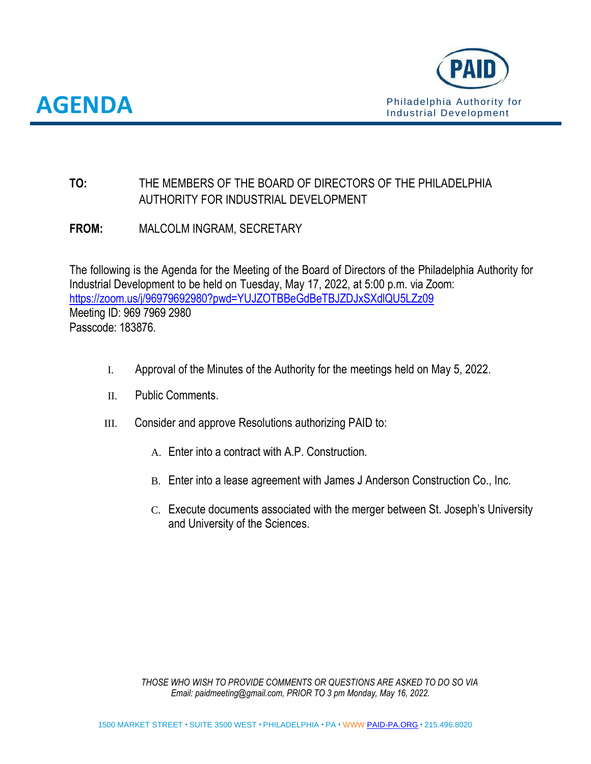

**AA**



# **TO:** THE MEMBERS OF THE BOARD OF DIRECTORS OF THE PHILADELPHIA AUTHORITY FOR INDUSTRIAL DEVELOPMENT

**FROM:** MALCOLM INGRAM, SECRETARY

The following is the Agenda for the Meeting of the Board of Directors of the Philadelphia Authority for Industrial Development to be held on Tuesday, May 17, 2022, at 5:00 p.m. via Zoom: <https://zoom.us/j/96979692980?pwd=YUJZOTBBeGdBeTBJZDJxSXdlQU5LZz09> Meeting ID: 969 7969 2980 Passcode: 183876.

- I. Approval of the Minutes of the Authority for the meetings held on May 5, 2022.
- II. Public Comments.
- III. Consider and approve Resolutions authorizing PAID to:
	- A. Enter into a contract with A.P. Construction.
	- B. Enter into a lease agreement with James J Anderson Construction Co., Inc.
	- C. Execute documents associated with the merger between St. Joseph's University and University of the Sciences.

*THOSE WHO WISH TO PROVIDE COMMENTS OR QUESTIONS ARE ASKED TO DO SO VIA Email: paidmeeting@gmail.com, PRIOR TO 3 pm Monday, May 16, 2022.*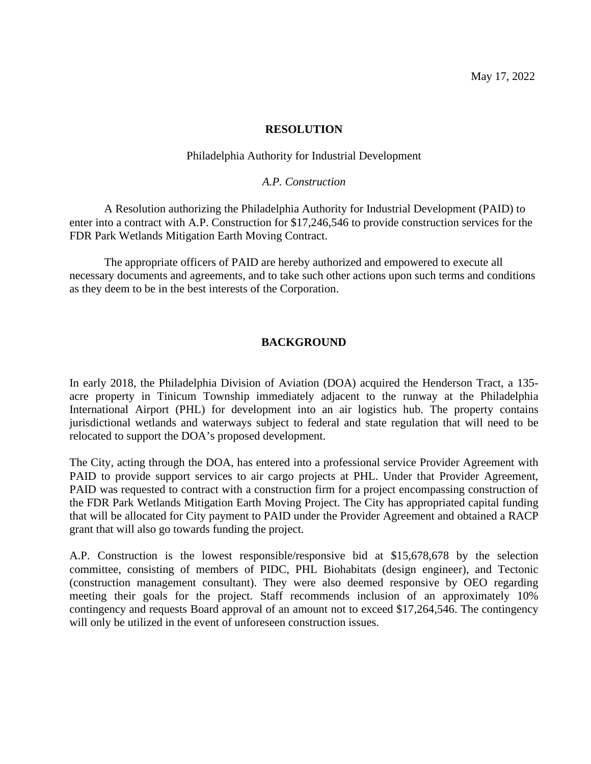# **RESOLUTION**

# Philadelphia Authority for Industrial Development

# *A.P. Construction*

A Resolution authorizing the Philadelphia Authority for Industrial Development (PAID) to enter into a contract with A.P. Construction for \$17,246,546 to provide construction services for the FDR Park Wetlands Mitigation Earth Moving Contract.

The appropriate officers of PAID are hereby authorized and empowered to execute all necessary documents and agreements, and to take such other actions upon such terms and conditions as they deem to be in the best interests of the Corporation.

# **BACKGROUND**

In early 2018, the Philadelphia Division of Aviation (DOA) acquired the Henderson Tract, a 135 acre property in Tinicum Township immediately adjacent to the runway at the Philadelphia International Airport (PHL) for development into an air logistics hub. The property contains jurisdictional wetlands and waterways subject to federal and state regulation that will need to be relocated to support the DOA's proposed development.

The City, acting through the DOA, has entered into a professional service Provider Agreement with PAID to provide support services to air cargo projects at PHL. Under that Provider Agreement, PAID was requested to contract with a construction firm for a project encompassing construction of the FDR Park Wetlands Mitigation Earth Moving Project. The City has appropriated capital funding that will be allocated for City payment to PAID under the Provider Agreement and obtained a RACP grant that will also go towards funding the project.

A.P. Construction is the lowest responsible/responsive bid at \$15,678,678 by the selection committee, consisting of members of PIDC, PHL Biohabitats (design engineer), and Tectonic (construction management consultant). They were also deemed responsive by OEO regarding meeting their goals for the project. Staff recommends inclusion of an approximately 10% contingency and requests Board approval of an amount not to exceed \$17,264,546. The contingency will only be utilized in the event of unforeseen construction issues.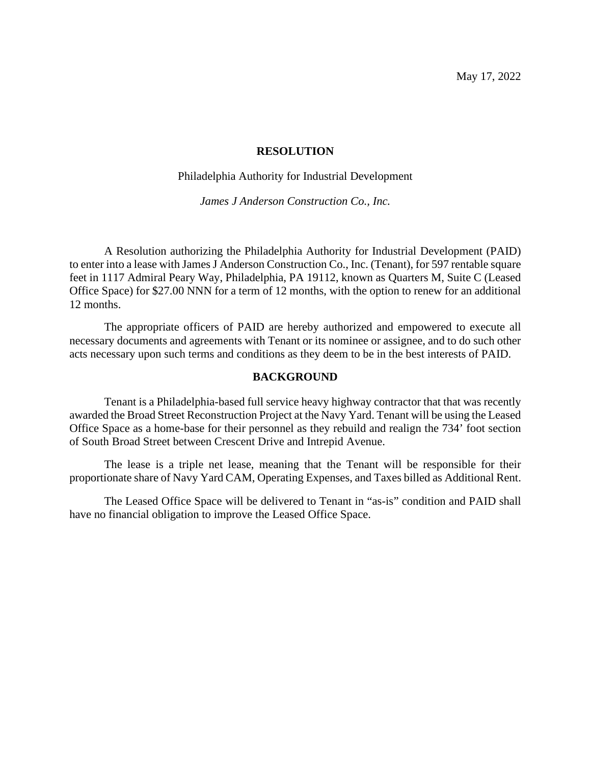May 17, 2022

# **RESOLUTION**

#### Philadelphia Authority for Industrial Development

*James J Anderson Construction Co., Inc.*

A Resolution authorizing the Philadelphia Authority for Industrial Development (PAID) to enter into a lease with James J Anderson Construction Co., Inc. (Tenant), for 597 rentable square feet in 1117 Admiral Peary Way, Philadelphia, PA 19112, known as Quarters M, Suite C (Leased Office Space) for \$27.00 NNN for a term of 12 months, with the option to renew for an additional 12 months.

The appropriate officers of PAID are hereby authorized and empowered to execute all necessary documents and agreements with Tenant or its nominee or assignee, and to do such other acts necessary upon such terms and conditions as they deem to be in the best interests of PAID.

#### **BACKGROUND**

Tenant is a Philadelphia-based full service heavy highway contractor that that was recently awarded the Broad Street Reconstruction Project at the Navy Yard. Tenant will be using the Leased Office Space as a home-base for their personnel as they rebuild and realign the 734' foot section of South Broad Street between Crescent Drive and Intrepid Avenue.

The lease is a triple net lease, meaning that the Tenant will be responsible for their proportionate share of Navy Yard CAM, Operating Expenses, and Taxes billed as Additional Rent.

The Leased Office Space will be delivered to Tenant in "as-is" condition and PAID shall have no financial obligation to improve the Leased Office Space.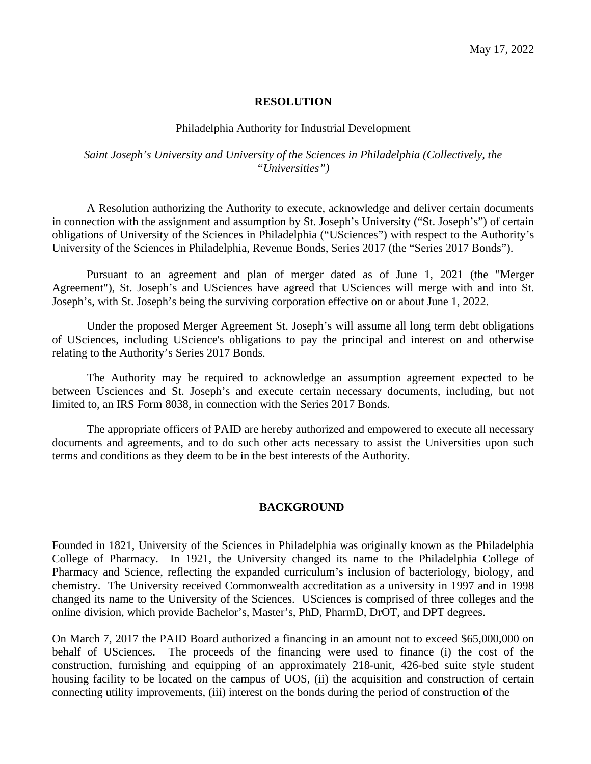#### **RESOLUTION**

#### Philadelphia Authority for Industrial Development

# *Saint Joseph's University and University of the Sciences in Philadelphia (Collectively, the "Universities")*

A Resolution authorizing the Authority to execute, acknowledge and deliver certain documents in connection with the assignment and assumption by St. Joseph's University ("St. Joseph's") of certain obligations of University of the Sciences in Philadelphia ("USciences") with respect to the Authority's University of the Sciences in Philadelphia, Revenue Bonds, Series 2017 (the "Series 2017 Bonds").

Pursuant to an agreement and plan of merger dated as of June 1, 2021 (the "Merger Agreement"), St. Joseph's and USciences have agreed that USciences will merge with and into St. Joseph's, with St. Joseph's being the surviving corporation effective on or about June 1, 2022.

Under the proposed Merger Agreement St. Joseph's will assume all long term debt obligations of USciences, including UScience's obligations to pay the principal and interest on and otherwise relating to the Authority's Series 2017 Bonds.

The Authority may be required to acknowledge an assumption agreement expected to be between Usciences and St. Joseph's and execute certain necessary documents, including, but not limited to, an IRS Form 8038, in connection with the Series 2017 Bonds.

The appropriate officers of PAID are hereby authorized and empowered to execute all necessary documents and agreements, and to do such other acts necessary to assist the Universities upon such terms and conditions as they deem to be in the best interests of the Authority.

#### **BACKGROUND**

Founded in 1821, University of the Sciences in Philadelphia was originally known as the Philadelphia College of Pharmacy. In 1921, the University changed its name to the Philadelphia College of Pharmacy and Science, reflecting the expanded curriculum's inclusion of bacteriology, biology, and chemistry. The University received Commonwealth accreditation as a university in 1997 and in 1998 changed its name to the University of the Sciences. USciences is comprised of three colleges and the online division, which provide Bachelor's, Master's, PhD, PharmD, DrOT, and DPT degrees.

On March 7, 2017 the PAID Board authorized a financing in an amount not to exceed \$65,000,000 on behalf of USciences. The proceeds of the financing were used to finance (i) the cost of the construction, furnishing and equipping of an approximately 218-unit, 426-bed suite style student housing facility to be located on the campus of UOS, (ii) the acquisition and construction of certain connecting utility improvements, (iii) interest on the bonds during the period of construction of the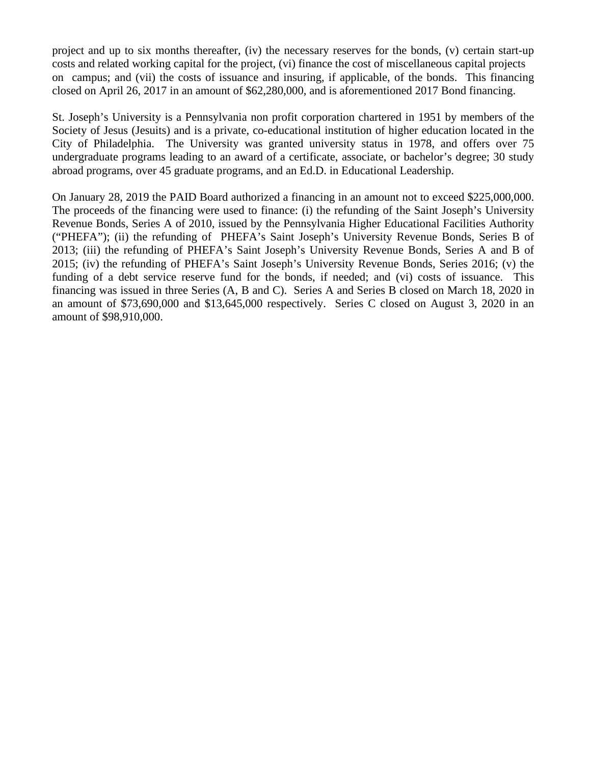project and up to six months thereafter, (iv) the necessary reserves for the bonds, (v) certain start-up costs and related working capital for the project, (vi) finance the cost of miscellaneous capital projects on campus; and (vii) the costs of issuance and insuring, if applicable, of the bonds. This financing closed on April 26, 2017 in an amount of \$62,280,000, and is aforementioned 2017 Bond financing.

St. Joseph's University is a Pennsylvania non profit corporation chartered in 1951 by members of the Society of Jesus (Jesuits) and is a private, co-educational institution of higher education located in the City of Philadelphia. The University was granted university status in 1978, and offers over 75 undergraduate programs leading to an award of a certificate, associate, or bachelor's degree; 30 study abroad programs, over 45 graduate programs, and an Ed.D. in Educational Leadership.

On January 28, 2019 the PAID Board authorized a financing in an amount not to exceed \$225,000,000. The proceeds of the financing were used to finance: (i) the refunding of the Saint Joseph's University Revenue Bonds, Series A of 2010, issued by the Pennsylvania Higher Educational Facilities Authority ("PHEFA"); (ii) the refunding of PHEFA's Saint Joseph's University Revenue Bonds, Series B of 2013; (iii) the refunding of PHEFA's Saint Joseph's University Revenue Bonds, Series A and B of 2015; (iv) the refunding of PHEFA's Saint Joseph's University Revenue Bonds, Series 2016; (v) the funding of a debt service reserve fund for the bonds, if needed; and (vi) costs of issuance. This financing was issued in three Series (A, B and C). Series A and Series B closed on March 18, 2020 in an amount of \$73,690,000 and \$13,645,000 respectively. Series C closed on August 3, 2020 in an amount of \$98,910,000.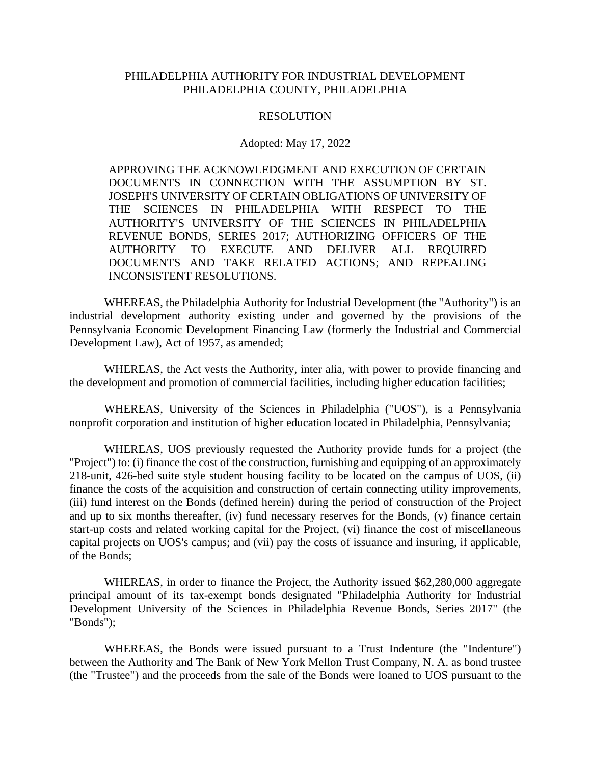# PHILADELPHIA AUTHORITY FOR INDUSTRIAL DEVELOPMENT PHILADELPHIA COUNTY, PHILADELPHIA

#### RESOLUTION

#### Adopted: May 17, 2022

APPROVING THE ACKNOWLEDGMENT AND EXECUTION OF CERTAIN DOCUMENTS IN CONNECTION WITH THE ASSUMPTION BY ST. JOSEPH'S UNIVERSITY OF CERTAIN OBLIGATIONS OF UNIVERSITY OF THE SCIENCES IN PHILADELPHIA WITH RESPECT TO THE AUTHORITY'S UNIVERSITY OF THE SCIENCES IN PHILADELPHIA REVENUE BONDS, SERIES 2017; AUTHORIZING OFFICERS OF THE AUTHORITY TO EXECUTE AND DELIVER ALL REQUIRED DOCUMENTS AND TAKE RELATED ACTIONS; AND REPEALING INCONSISTENT RESOLUTIONS.

WHEREAS, the Philadelphia Authority for Industrial Development (the "Authority") is an industrial development authority existing under and governed by the provisions of the Pennsylvania Economic Development Financing Law (formerly the Industrial and Commercial Development Law), Act of 1957, as amended;

WHEREAS, the Act vests the Authority, inter alia, with power to provide financing and the development and promotion of commercial facilities, including higher education facilities;

WHEREAS, University of the Sciences in Philadelphia ("UOS"), is a Pennsylvania nonprofit corporation and institution of higher education located in Philadelphia, Pennsylvania;

WHEREAS, UOS previously requested the Authority provide funds for a project (the "Project") to: (i) finance the cost of the construction, furnishing and equipping of an approximately 218-unit, 426-bed suite style student housing facility to be located on the campus of UOS, (ii) finance the costs of the acquisition and construction of certain connecting utility improvements, (iii) fund interest on the Bonds (defined herein) during the period of construction of the Project and up to six months thereafter, (iv) fund necessary reserves for the Bonds, (v) finance certain start-up costs and related working capital for the Project, (vi) finance the cost of miscellaneous capital projects on UOS's campus; and (vii) pay the costs of issuance and insuring, if applicable, of the Bonds;

WHEREAS, in order to finance the Project, the Authority issued \$62,280,000 aggregate principal amount of its tax-exempt bonds designated "Philadelphia Authority for Industrial Development University of the Sciences in Philadelphia Revenue Bonds, Series 2017" (the "Bonds");

WHEREAS, the Bonds were issued pursuant to a Trust Indenture (the "Indenture") between the Authority and The Bank of New York Mellon Trust Company, N. A. as bond trustee (the "Trustee") and the proceeds from the sale of the Bonds were loaned to UOS pursuant to the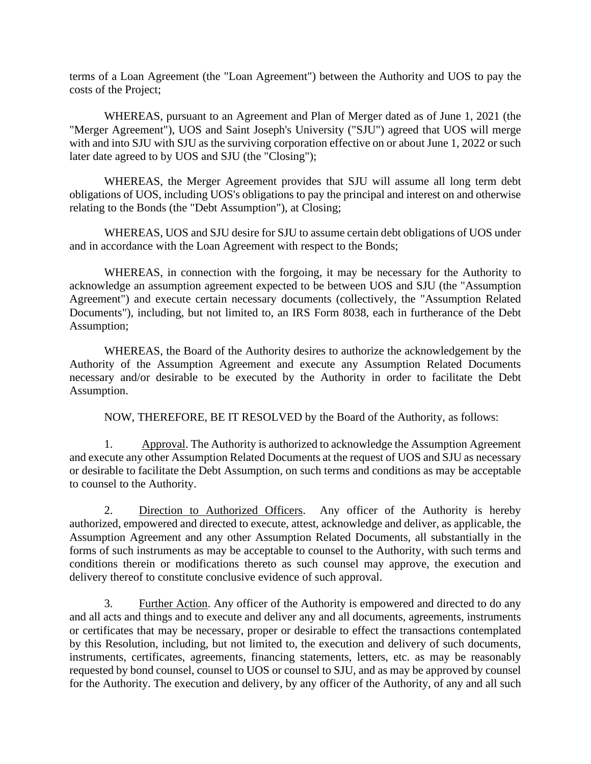terms of a Loan Agreement (the "Loan Agreement") between the Authority and UOS to pay the costs of the Project;

WHEREAS, pursuant to an Agreement and Plan of Merger dated as of June 1, 2021 (the "Merger Agreement"), UOS and Saint Joseph's University ("SJU") agreed that UOS will merge with and into SJU with SJU as the surviving corporation effective on or about June 1, 2022 or such later date agreed to by UOS and SJU (the "Closing");

WHEREAS, the Merger Agreement provides that SJU will assume all long term debt obligations of UOS, including UOS's obligations to pay the principal and interest on and otherwise relating to the Bonds (the "Debt Assumption"), at Closing;

WHEREAS, UOS and SJU desire for SJU to assume certain debt obligations of UOS under and in accordance with the Loan Agreement with respect to the Bonds;

WHEREAS, in connection with the forgoing, it may be necessary for the Authority to acknowledge an assumption agreement expected to be between UOS and SJU (the "Assumption Agreement") and execute certain necessary documents (collectively, the "Assumption Related Documents"), including, but not limited to, an IRS Form 8038, each in furtherance of the Debt Assumption;

WHEREAS, the Board of the Authority desires to authorize the acknowledgement by the Authority of the Assumption Agreement and execute any Assumption Related Documents necessary and/or desirable to be executed by the Authority in order to facilitate the Debt Assumption.

NOW, THEREFORE, BE IT RESOLVED by the Board of the Authority, as follows:

1. Approval. The Authority is authorized to acknowledge the Assumption Agreement and execute any other Assumption Related Documents at the request of UOS and SJU as necessary or desirable to facilitate the Debt Assumption, on such terms and conditions as may be acceptable to counsel to the Authority.

2. Direction to Authorized Officers. Any officer of the Authority is hereby authorized, empowered and directed to execute, attest, acknowledge and deliver, as applicable, the Assumption Agreement and any other Assumption Related Documents, all substantially in the forms of such instruments as may be acceptable to counsel to the Authority, with such terms and conditions therein or modifications thereto as such counsel may approve, the execution and delivery thereof to constitute conclusive evidence of such approval.

3. Further Action. Any officer of the Authority is empowered and directed to do any and all acts and things and to execute and deliver any and all documents, agreements, instruments or certificates that may be necessary, proper or desirable to effect the transactions contemplated by this Resolution, including, but not limited to, the execution and delivery of such documents, instruments, certificates, agreements, financing statements, letters, etc. as may be reasonably requested by bond counsel, counsel to UOS or counsel to SJU, and as may be approved by counsel for the Authority. The execution and delivery, by any officer of the Authority, of any and all such